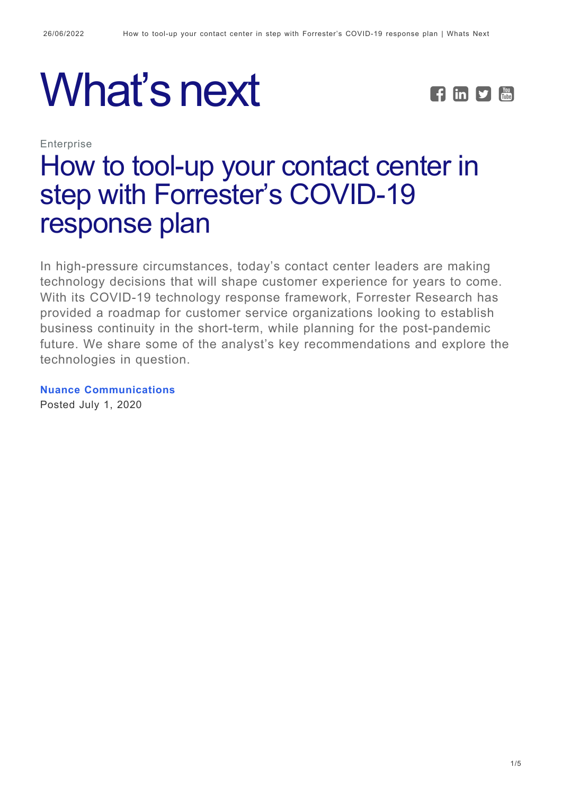# What's next **FEPE**



**Enterprise** 

# [How to tool-up your contact center in](https://whatsnext.nuance.com/enterprise/highlights-contact-center-covid-response-plan/) [step with Forrester's COVID-19](https://whatsnext.nuance.com/enterprise/highlights-contact-center-covid-response-plan/) [response plan](https://whatsnext.nuance.com/enterprise/highlights-contact-center-covid-response-plan/)

In high-pressure circumstances, today's contact center leaders are making technology decisions that will shape customer experience for years to come. With its COVID-19 technology response framework, Forrester Research has provided a roadmap for customer service organizations looking to establish business continuity in the short-term, while planning for the post-pandemic future. We share some of the analyst's key recommendations and explore the technologies in question.

**[Nuance Communications](https://whatsnext.nuance.com/author/nuance-communications/)** Posted July 1, 2020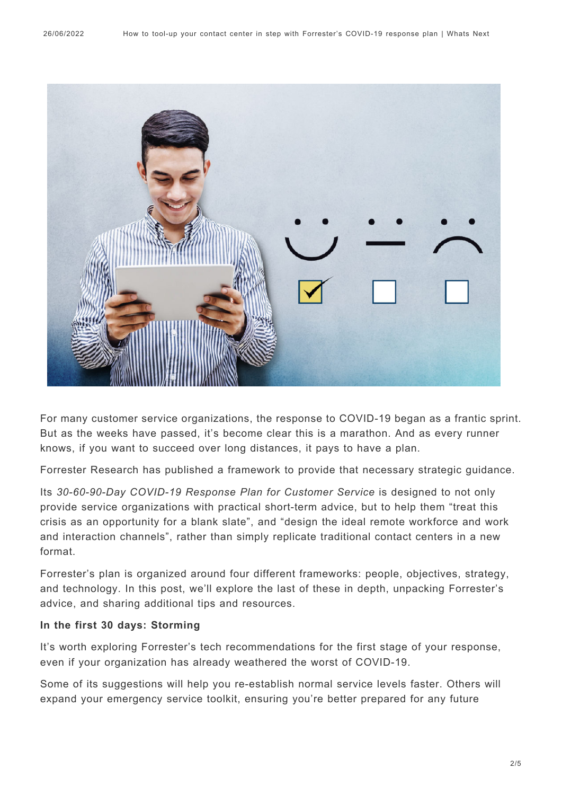

For many customer service organizations, the response to COVID-19 began as a frantic sprint. But as the weeks have passed, it's become clear this is a marathon. And as every runner knows, if you want to succeed over long distances, it pays to have a plan.

Forrester Research has published a framework to provide that necessary strategic guidance.

Its *30-60-90-Day COVID-19 Response Plan for Customer Service* is designed to not only provide service organizations with practical short-term advice, but to help them "treat this crisis as an opportunity for a blank slate", and "design the ideal remote workforce and work and interaction channels", rather than simply replicate traditional contact centers in a new format.

Forrester's plan is organized around four different frameworks: people, objectives, strategy, and technology. In this post, we'll explore the last of these in depth, unpacking Forrester's advice, and sharing additional tips and resources.

#### **In the first 30 days: Storming**

It's worth exploring Forrester's tech recommendations for the first stage of your response, even if your organization has already weathered the worst of COVID-19.

Some of its suggestions will help you re-establish normal service levels faster. Others will expand your emergency service toolkit, ensuring you're better prepared for any future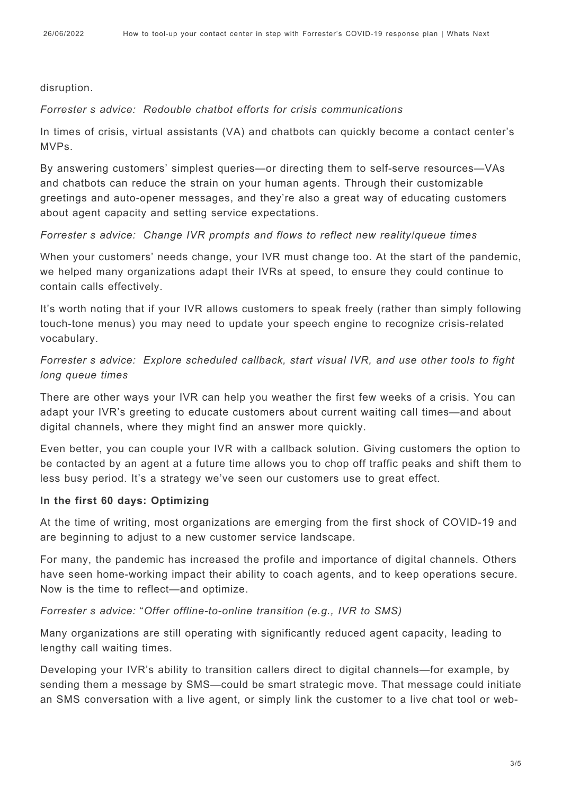#### disruption.

#### *Forrester's advice: Redouble chatbot efforts for crisis communications*

In times of crisis, virtual assistants (VA) and chatbots can quickly become a contact center's MVPs.

By answering customers' simplest queries—or directing them to self-serve resources—VAs and chatbots can reduce the strain on your human agents. Through their customizable greetings and auto-opener messages, and they're also a great way of educating customers about agent capacity and setting service expectations.

#### *Forrester's advice: Change IVR prompts and flows to reflect new reality/queue times*

When your customers' needs change, your IVR must change too. At the start of the pandemic, we helped many organizations adapt their IVRs at speed, to ensure they could continue to contain calls effectively.

It's worth noting that if your IVR allows customers to speak freely (rather than simply following touch-tone menus) you may need to update your speech engine to recognize crisis-related vocabulary.

## *Forrester's advice: Explore scheduled callback, start visual IVR, and use other tools to fight long queue times*

There are other ways your IVR can help you weather the first few weeks of a crisis. You can adapt your IVR's greeting to educate customers about current waiting call times—and about digital channels, where they might find an answer more quickly.

Even better, you can couple your IVR with a callback solution. Giving customers the option to be contacted by an agent at a future time allows you to chop off traffic peaks and shift them to less busy period. It's a strategy we've seen our customers use to great effect.

#### **In the first 60 days: Optimizing**

At the time of writing, most organizations are emerging from the first shock of COVID-19 and are beginning to adjust to a new customer service landscape.

For many, the pandemic has increased the profile and importance of digital channels. Others have seen home-working impact their ability to coach agents, and to keep operations secure. Now is the time to reflect—and optimize.

#### *Forrester's advice: "Offer offline-to-online transition (e.g., IVR to SMS)*

Many organizations are still operating with significantly reduced agent capacity, leading to lengthy call waiting times.

Developing your IVR's ability to transition callers direct to digital channels—for example, by sending them a message by SMS—could be smart strategic move. That message could initiate an SMS conversation with a live agent, or simply link the customer to a live chat tool or web-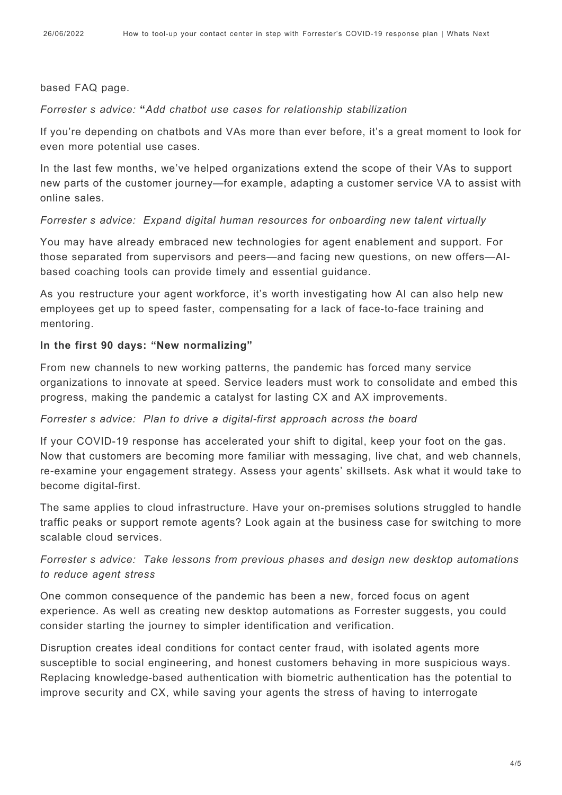#### based FAQ page.

#### *Forrester's advice:* **"***Add chatbot use cases for relationship stabilization"*

If you're depending on chatbots and VAs more than ever before, it's a great moment to look for even more potential use cases.

In the last few months, we've helped organizations extend the scope of their VAs to support new parts of the customer journey—for example, adapting a customer service VA to assist with online sales.

#### *Forrester's advice: Expand digital human resources for onboarding new talent virtually*

You may have already embraced new technologies for agent enablement and support. For those separated from supervisors and peers—and facing new questions, on new offers—AIbased coaching tools can provide timely and essential guidance.

As you restructure your agent workforce, it's worth investigating how AI can also help new employees get up to speed faster, compensating for a lack of face-to-face training and mentoring.

#### **In the first 90 days: "New normalizing"**

From new channels to new working patterns, the pandemic has forced many service organizations to innovate at speed. Service leaders must work to consolidate and embed this progress, making the pandemic a catalyst for lasting CX and AX improvements.

#### *Forrester's advice: Plan to drive a digital-first approach across the board*

If your COVID-19 response has accelerated your shift to digital, keep your foot on the gas. Now that customers are becoming more familiar with messaging, live chat, and web channels, re-examine your engagement strategy. Assess your agents' skillsets. Ask what it would take to become digital-first.

The same applies to cloud infrastructure. Have your on-premises solutions struggled to handle traffic peaks or support remote agents? Look again at the business case for switching to more scalable cloud services.

### *Forrester's advice: "Take lessons from previous phases and design new desktop automations to reduce agent stress"*

One common consequence of the pandemic has been a new, forced focus on agent experience. As well as creating new desktop automations as Forrester suggests, you could consider starting the journey to simpler identification and verification.

Disruption creates ideal conditions for contact center fraud, with isolated agents more susceptible to social engineering, and honest customers behaving in more suspicious ways. Replacing knowledge-based authentication with biometric authentication has the potential to improve security and CX, while saving your agents the stress of having to interrogate